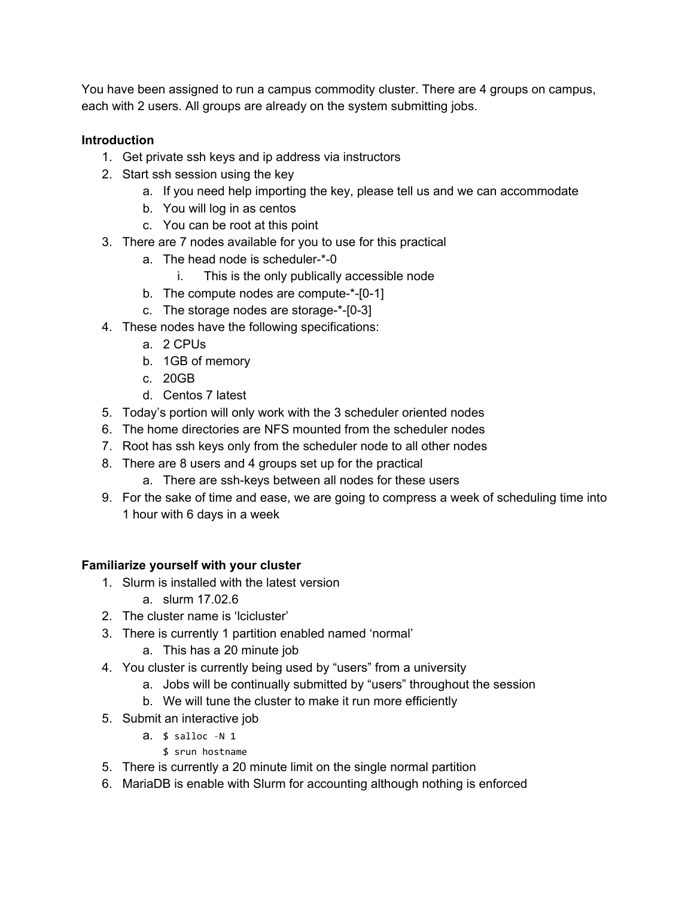You have been assigned to run a campus commodity cluster. There are 4 groups on campus, each with 2 users. All groups are already on the system submitting jobs.

# **Introduction**

- 1. Get private ssh keys and ip address via instructors
- 2. Start ssh session using the key
	- a. If you need help importing the key, please tell us and we can accommodate
	- b. You will log in as centos
	- c. You can be root at this point
- 3. There are 7 nodes available for you to use for this practical
	- a. The head node is scheduler-\*-0
		- i. This is the only publically accessible node
	- b. The compute nodes are compute-\*-[0-1]
	- c. The storage nodes are storage-\*-[0-3]
- 4. These nodes have the following specifications:
	- a. 2 CPUs
	- b. 1GB of memory
	- c. 20GB
	- d. Centos 7 latest
- 5. Today's portion will only work with the 3 scheduler oriented nodes
- 6. The home directories are NFS mounted from the scheduler nodes
- 7. Root has ssh keys only from the scheduler node to all other nodes
- 8. There are 8 users and 4 groups set up for the practical
	- a. There are ssh-keys between all nodes for these users
- 9. For the sake of time and ease, we are going to compress a week of scheduling time into 1 hour with 6 days in a week

## **Familiarize yourself with your cluster**

- 1. Slurm is installed with the latest version
	- a. slurm 17.02.6
- 2. The cluster name is 'lcicluster'
- 3. There is currently 1 partition enabled named 'normal'
	- a. This has a 20 minute job
- 4. You cluster is currently being used by "users" from a university
	- a. Jobs will be continually submitted by "users" throughout the session
	- b. We will tune the cluster to make it run more efficiently
- 5. Submit an interactive job
	- a. \$ salloc -N 1
		- \$ srun hostname
- 5. There is currently a 20 minute limit on the single normal partition
- 6. MariaDB is enable with Slurm for accounting although nothing is enforced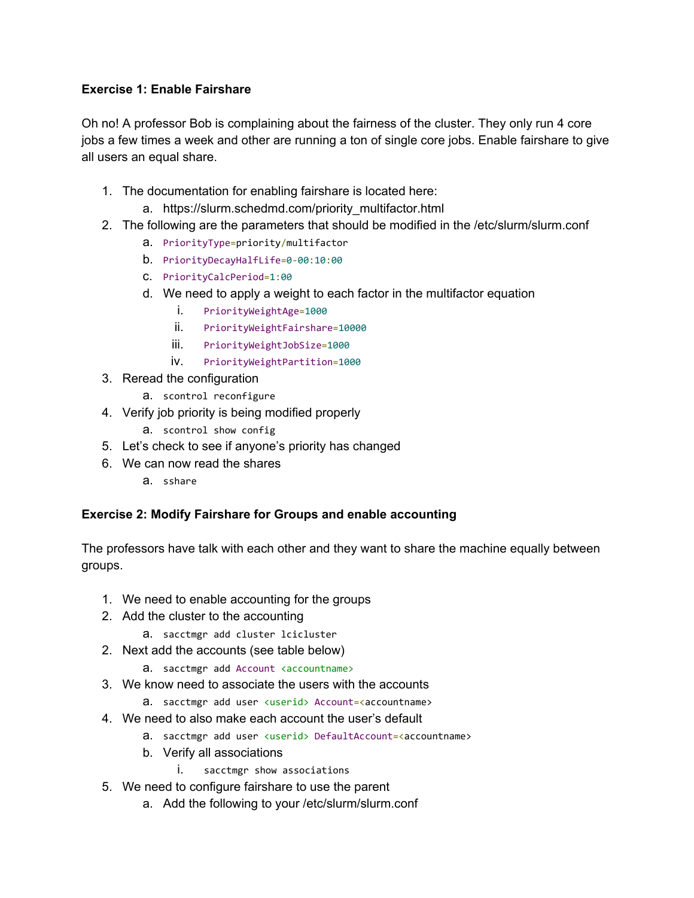## **Exercise 1: Enable Fairshare**

Oh no! A professor Bob is complaining about the fairness of the cluster. They only run 4 core jobs a few times a week and other are running a ton of single core jobs. Enable fairshare to give all users an equal share.

- 1. The documentation for enabling fairshare is located here:
	- a. https://slurm.schedmd.com/priority\_multifactor.html
- 2. The following are the parameters that should be modified in the /etc/slurm/slurm.conf
	- a. PriorityType=priority/multifactor
	- b. PriorityDecayHalfLife=0-00:10:00
	- c. PriorityCalcPeriod=1:00
	- d. We need to apply a weight to each factor in the multifactor equation
		- i. PriorityWeightAge=1000
		- ii. PriorityWeightFairshare=10000
		- iii. PriorityWeightJobSize=1000
		- iv. PriorityWeightPartition=1000
- 3. Reread the configuration
	- a. scontrol reconfigure
- 4. Verify job priority is being modified properly
	- a. scontrol show config
- 5. Let's check to see if anyone's priority has changed
- 6. We can now read the shares
	- a. sshare

## **Exercise 2: Modify Fairshare for Groups and enable accounting**

The professors have talk with each other and they want to share the machine equally between groups.

- 1. We need to enable accounting for the groups
- 2. Add the cluster to the accounting
	- a. sacctmgr add cluster lcicluster
- 2. Next add the accounts (see table below)
	- a. sacctmgr add Account <accountname>
- 3. We know need to associate the users with the accounts
	- a. sacctmgr add user <userid> Account=<accountname>
- 4. We need to also make each account the user's default
	- a. sacctmgr add user <userid> DefaultAccount=<accountname>
	- b. Verify all associations
		- i. sacctmgr show associations
- 5. We need to configure fairshare to use the parent
	- a. Add the following to your /etc/slurm/slurm.conf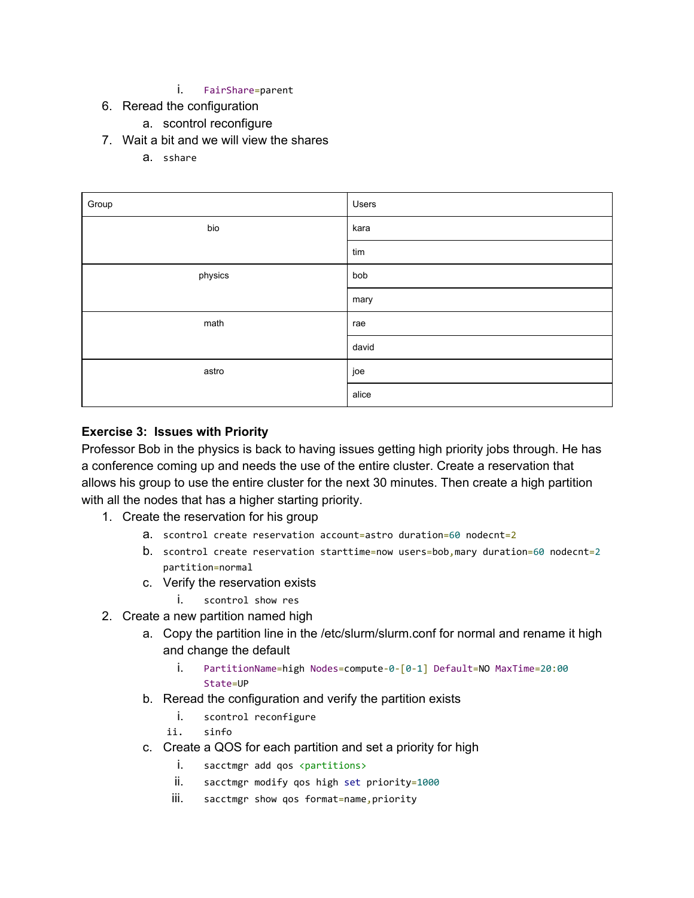- i. FairShare=parent
- 6. Reread the configuration
	- a. scontrol reconfigure
- 7. Wait a bit and we will view the shares
	- a. sshare

| Group   | Users |
|---------|-------|
| bio     | kara  |
|         | tim   |
| physics | bob   |
|         | mary  |
| math    | rae   |
|         | david |
| astro   | joe   |
|         | alice |

### **Exercise 3: Issues with Priority**

Professor Bob in the physics is back to having issues getting high priority jobs through. He has a conference coming up and needs the use of the entire cluster. Create a reservation that allows his group to use the entire cluster for the next 30 minutes. Then create a high partition with all the nodes that has a higher starting priority.

- 1. Create the reservation for his group
	- a. scontrol create reservation account=astro duration=60 nodecnt=2
	- b. scontrol create reservation starttime=now users=bob,mary duration=60 nodecnt=2 partition=normal
	- c. Verify the reservation exists
		- i. scontrol show res
- 2. Create a new partition named high
	- a. Copy the partition line in the /etc/slurm/slurm.conf for normal and rename it high and change the default
		- i. PartitionName=high Nodes=compute-0-[0-1] Default=NO MaxTime=20:00 State=UP
	- b. Reread the configuration and verify the partition exists
		- i. scontrol reconfigure
		- ii. sinfo
	- c. Create a QOS for each partition and set a priority for high
		- i. sacctmgr add qos <partitions>
		- ii. sacctmgr modify qos high set priority=1000
		- iii. sacctmgr show qos format=name, priority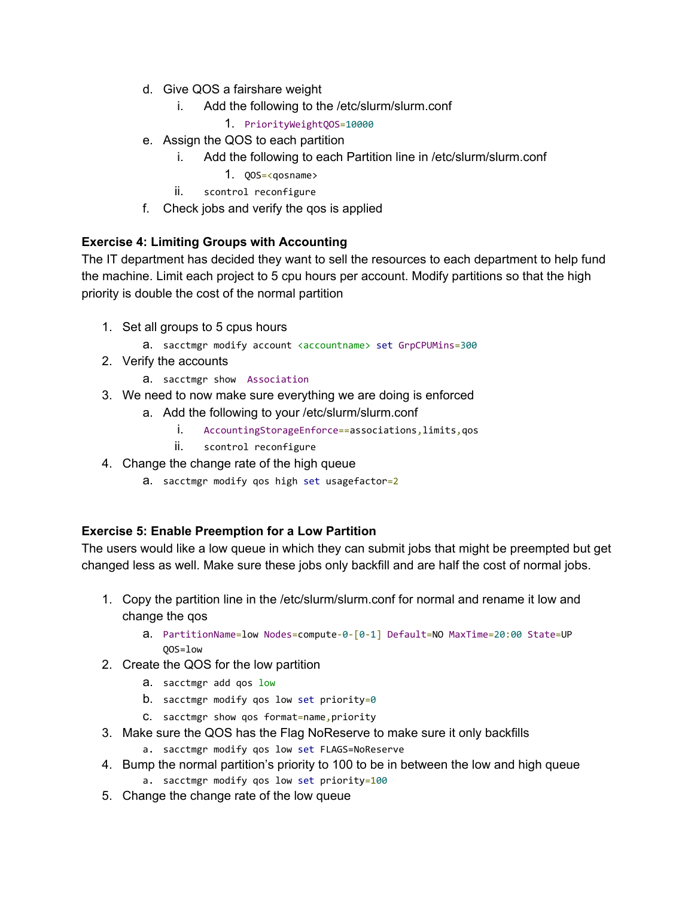- d. Give QOS a fairshare weight
	- i. Add the following to the /etc/slurm/slurm.conf
		- 1. PriorityWeightQOS=10000
- e. Assign the QOS to each partition
	- i. Add the following to each Partition line in /etc/slurm/slurm.conf
		- 1. QOS=<qosname>
	- ii. scontrol reconfigure
- f. Check jobs and verify the qos is applied

## **Exercise 4: Limiting Groups with Accounting**

The IT department has decided they want to sell the resources to each department to help fund the machine. Limit each project to 5 cpu hours per account. Modify partitions so that the high priority is double the cost of the normal partition

- 1. Set all groups to 5 cpus hours
	- a. sacctmgr modify account <accountname> set GrpCPUMins=300
- 2. Verify the accounts
	- a. sacctmgr show Association
- 3. We need to now make sure everything we are doing is enforced
	- a. Add the following to your /etc/slurm/slurm.conf
		- i. AccountingStorageEnforce==associations, limits, qos
		- ii. scontrol reconfigure
- 4. Change the change rate of the high queue
	- a. sacctmgr modify qos high set usagefactor=2

## **Exercise 5: Enable Preemption for a Low Partition**

The users would like a low queue in which they can submit jobs that might be preempted but get changed less as well. Make sure these jobs only backfill and are half the cost of normal jobs.

- 1. Copy the partition line in the /etc/slurm/slurm.conf for normal and rename it low and change the qos
	- a. PartitionName=low Nodes=compute-0-[0-1] Default=NO MaxTime=20:00 State=UP QOS=low
- 2. Create the QOS for the low partition
	- a. sacctmgr add gos low
	- b. sacctmgr modify qos low set priority=0
	- c. sacctmgr show qos format=name,priority
- 3. Make sure the QOS has the Flag NoReserve to make sure it only backfills
	- a. sacctmgr modify qos low set FLAGS=NoReserve
- 4. Bump the normal partition's priority to 100 to be in between the low and high queue
	- a. sacctmgr modify qos low set priority=100
- 5. Change the change rate of the low queue